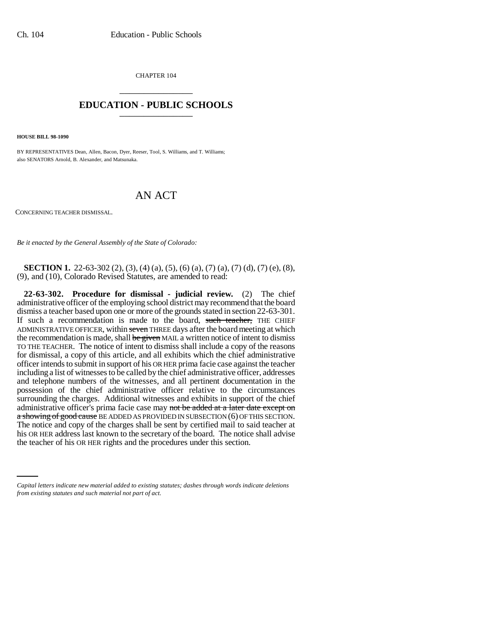CHAPTER 104 \_\_\_\_\_\_\_\_\_\_\_\_\_\_\_

## **EDUCATION - PUBLIC SCHOOLS** \_\_\_\_\_\_\_\_\_\_\_\_\_\_\_

**HOUSE BILL 98-1090**

BY REPRESENTATIVES Dean, Allen, Bacon, Dyer, Reeser, Tool, S. Williams, and T. Williams; also SENATORS Arnold, B. Alexander, and Matsunaka.

## AN ACT

CONCERNING TEACHER DISMISSAL.

*Be it enacted by the General Assembly of the State of Colorado:*

**SECTION 1.** 22-63-302 (2), (3), (4) (a), (5), (6) (a), (7) (a), (7) (d), (7) (e), (8), (9), and (10), Colorado Revised Statutes, are amended to read:

his OR HER address last known to the secretary of the board. The notice shall advise **22-63-302. Procedure for dismissal - judicial review.** (2) The chief administrative officer of the employing school district may recommend that the board dismiss a teacher based upon one or more of the grounds stated in section 22-63-301. If such a recommendation is made to the board, such teacher, THE CHIEF ADMINISTRATIVE OFFICER, within seven THREE days after the board meeting at which the recommendation is made, shall be given MAIL a written notice of intent to dismiss TO THE TEACHER. The notice of intent to dismiss shall include a copy of the reasons for dismissal, a copy of this article, and all exhibits which the chief administrative officer intends to submit in support of his OR HER prima facie case against the teacher including a list of witnesses to be called by the chief administrative officer, addresses and telephone numbers of the witnesses, and all pertinent documentation in the possession of the chief administrative officer relative to the circumstances surrounding the charges. Additional witnesses and exhibits in support of the chief administrative officer's prima facie case may not be added at a later date except on a showing of good cause BE ADDED AS PROVIDED IN SUBSECTION (6) OF THIS SECTION. The notice and copy of the charges shall be sent by certified mail to said teacher at the teacher of his OR HER rights and the procedures under this section.

*Capital letters indicate new material added to existing statutes; dashes through words indicate deletions from existing statutes and such material not part of act.*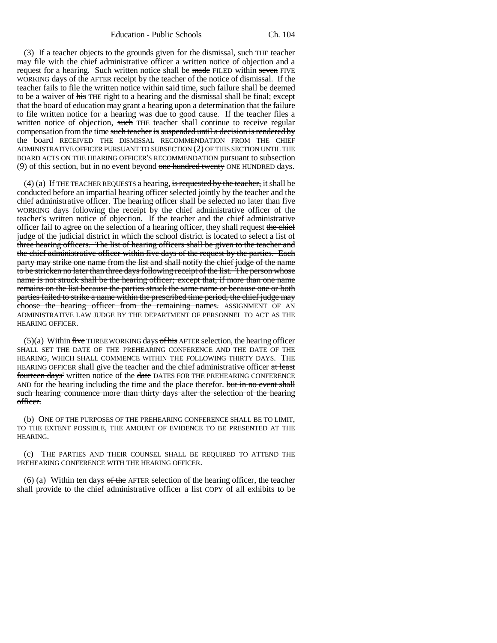(3) If a teacher objects to the grounds given for the dismissal, such THE teacher may file with the chief administrative officer a written notice of objection and a request for a hearing. Such written notice shall be made FILED within seven FIVE WORKING days of the AFTER receipt by the teacher of the notice of dismissal. If the teacher fails to file the written notice within said time, such failure shall be deemed to be a waiver of his THE right to a hearing and the dismissal shall be final; except that the board of education may grant a hearing upon a determination that the failure to file written notice for a hearing was due to good cause. If the teacher files a written notice of objection, such THE teacher shall continue to receive regular compensation from the time such teacher is suspended until a decision is rendered by the board RECEIVED THE DISMISSAL RECOMMENDATION FROM THE CHIEF ADMINISTRATIVE OFFICER PURSUANT TO SUBSECTION (2) OF THIS SECTION UNTIL THE BOARD ACTS ON THE HEARING OFFICER'S RECOMMENDATION pursuant to subsection (9) of this section, but in no event beyond one hundred twenty ONE HUNDRED days.

(4) (a) If THE TEACHER REQUESTS a hearing, is requested by the teacher, it shall be conducted before an impartial hearing officer selected jointly by the teacher and the chief administrative officer. The hearing officer shall be selected no later than five WORKING days following the receipt by the chief administrative officer of the teacher's written notice of objection. If the teacher and the chief administrative officer fail to agree on the selection of a hearing officer, they shall request the chief judge of the judicial district in which the school district is located to select a list of three hearing officers. The list of hearing officers shall be given to the teacher and the chief administrative officer within five days of the request by the parties. Each party may strike one name from the list and shall notify the chief judge of the name to be stricken no later than three days following receipt of the list. The person whose name is not struck shall be the hearing officer; except that, if more than one name remains on the list because the parties struck the same name or because one or both parties failed to strike a name within the prescribed time period, the chief judge may choose the hearing officer from the remaining names. ASSIGNMENT OF AN ADMINISTRATIVE LAW JUDGE BY THE DEPARTMENT OF PERSONNEL TO ACT AS THE HEARING OFFICER.

 $(5)(a)$  Within five THREE WORKING days of his AFTER selection, the hearing officer SHALL SET THE DATE OF THE PREHEARING CONFERENCE AND THE DATE OF THE HEARING, WHICH SHALL COMMENCE WITHIN THE FOLLOWING THIRTY DAYS. THE HEARING OFFICER shall give the teacher and the chief administrative officer at least fourteen days' written notice of the date DATES FOR THE PREHEARING CONFERENCE AND for the hearing including the time and the place therefor. but in no event shall such hearing commence more than thirty days after the selection of the hearing officer.

(b) ONE OF THE PURPOSES OF THE PREHEARING CONFERENCE SHALL BE TO LIMIT, TO THE EXTENT POSSIBLE, THE AMOUNT OF EVIDENCE TO BE PRESENTED AT THE HEARING.

(c) THE PARTIES AND THEIR COUNSEL SHALL BE REQUIRED TO ATTEND THE PREHEARING CONFERENCE WITH THE HEARING OFFICER.

(6) (a) Within ten days  $\sigma f$  the AFTER selection of the hearing officer, the teacher shall provide to the chief administrative officer a list COPY of all exhibits to be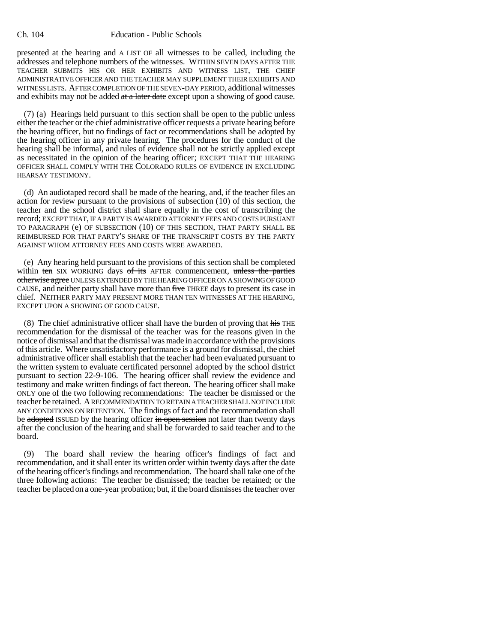## Ch. 104 Education - Public Schools

presented at the hearing and A LIST OF all witnesses to be called, including the addresses and telephone numbers of the witnesses. WITHIN SEVEN DAYS AFTER THE TEACHER SUBMITS HIS OR HER EXHIBITS AND WITNESS LIST, THE CHIEF ADMINISTRATIVE OFFICER AND THE TEACHER MAY SUPPLEMENT THEIR EXHIBITS AND WITNESS LISTS. AFTER COMPLETION OF THE SEVEN-DAY PERIOD, additional witnesses and exhibits may not be added  $\frac{at \cdot a \cdot later \cdot date}{at \cdot e}$  except upon a showing of good cause.

(7) (a) Hearings held pursuant to this section shall be open to the public unless either the teacher or the chief administrative officer requests a private hearing before the hearing officer, but no findings of fact or recommendations shall be adopted by the hearing officer in any private hearing. The procedures for the conduct of the hearing shall be informal, and rules of evidence shall not be strictly applied except as necessitated in the opinion of the hearing officer; EXCEPT THAT THE HEARING OFFICER SHALL COMPLY WITH THE COLORADO RULES OF EVIDENCE IN EXCLUDING HEARSAY TESTIMONY.

(d) An audiotaped record shall be made of the hearing, and, if the teacher files an action for review pursuant to the provisions of subsection (10) of this section, the teacher and the school district shall share equally in the cost of transcribing the record; EXCEPT THAT, IF A PARTY IS AWARDED ATTORNEY FEES AND COSTS PURSUANT TO PARAGRAPH (e) OF SUBSECTION (10) OF THIS SECTION, THAT PARTY SHALL BE REIMBURSED FOR THAT PARTY'S SHARE OF THE TRANSCRIPT COSTS BY THE PARTY AGAINST WHOM ATTORNEY FEES AND COSTS WERE AWARDED.

(e) Any hearing held pursuant to the provisions of this section shall be completed within ten SIX WORKING days of its AFTER commencement, unless the parties otherwise agree UNLESS EXTENDED BY THE HEARING OFFICER ON A SHOWING OF GOOD CAUSE, and neither party shall have more than five THREE days to present its case in chief. NEITHER PARTY MAY PRESENT MORE THAN TEN WITNESSES AT THE HEARING, EXCEPT UPON A SHOWING OF GOOD CAUSE.

(8) The chief administrative officer shall have the burden of proving that his THE recommendation for the dismissal of the teacher was for the reasons given in the notice of dismissal and that the dismissal was made in accordance with the provisions of this article. Where unsatisfactory performance is a ground for dismissal, the chief administrative officer shall establish that the teacher had been evaluated pursuant to the written system to evaluate certificated personnel adopted by the school district pursuant to section 22-9-106. The hearing officer shall review the evidence and testimony and make written findings of fact thereon. The hearing officer shall make ONLY one of the two following recommendations: The teacher be dismissed or the teacher be retained. A RECOMMENDATION TO RETAIN A TEACHER SHALL NOT INCLUDE ANY CONDITIONS ON RETENTION. The findings of fact and the recommendation shall be adopted ISSUED by the hearing officer in open session not later than twenty days after the conclusion of the hearing and shall be forwarded to said teacher and to the board.

(9) The board shall review the hearing officer's findings of fact and recommendation, and it shall enter its written order within twenty days after the date of the hearing officer's findings and recommendation. The board shall take one of the three following actions: The teacher be dismissed; the teacher be retained; or the teacher be placed on a one-year probation; but, if the board dismisses the teacher over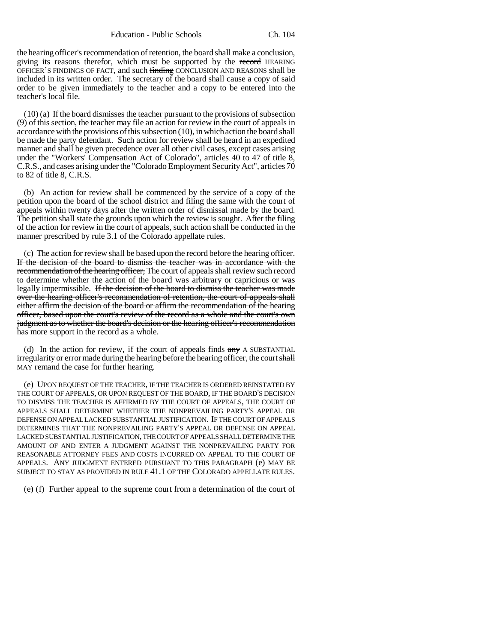Education - Public Schools Ch. 104

the hearing officer's recommendation of retention, the board shall make a conclusion, giving its reasons therefor, which must be supported by the record HEARING OFFICER'S FINDINGS OF FACT, and such finding CONCLUSION AND REASONS shall be included in its written order. The secretary of the board shall cause a copy of said order to be given immediately to the teacher and a copy to be entered into the teacher's local file.

(10) (a) If the board dismisses the teacher pursuant to the provisions of subsection (9) of this section, the teacher may file an action for review in the court of appeals in accordance with the provisions of this subsection (10), in which action the board shall be made the party defendant. Such action for review shall be heard in an expedited manner and shall be given precedence over all other civil cases, except cases arising under the "Workers' Compensation Act of Colorado", articles 40 to 47 of title 8, C.R.S., and cases arising under the "Colorado Employment Security Act", articles 70 to 82 of title 8, C.R.S.

(b) An action for review shall be commenced by the service of a copy of the petition upon the board of the school district and filing the same with the court of appeals within twenty days after the written order of dismissal made by the board. The petition shall state the grounds upon which the review is sought. After the filing of the action for review in the court of appeals, such action shall be conducted in the manner prescribed by rule 3.1 of the Colorado appellate rules.

(c) The action for review shall be based upon the record before the hearing officer. If the decision of the board to dismiss the teacher was in accordance with the recommendation of the hearing officer, The court of appeals shall review such record to determine whether the action of the board was arbitrary or capricious or was legally impermissible. If the decision of the board to dismiss the teacher was made over the hearing officer's recommendation of retention, the court of appeals shall either affirm the decision of the board or affirm the recommendation of the hearing officer, based upon the court's review of the record as a whole and the court's own judgment as to whether the board's decision or the hearing officer's recommendation has more support in the record as a whole.

(d) In the action for review, if the court of appeals finds  $\frac{a}{a}$  A SUBSTANTIAL irregularity or error made during the hearing before the hearing officer, the court shall MAY remand the case for further hearing.

(e) UPON REQUEST OF THE TEACHER, IF THE TEACHER IS ORDERED REINSTATED BY THE COURT OF APPEALS, OR UPON REQUEST OF THE BOARD, IF THE BOARD'S DECISION TO DISMISS THE TEACHER IS AFFIRMED BY THE COURT OF APPEALS, THE COURT OF APPEALS SHALL DETERMINE WHETHER THE NONPREVAILING PARTY'S APPEAL OR DEFENSE ON APPEAL LACKED SUBSTANTIAL JUSTIFICATION. IF THE COURT OF APPEALS DETERMINES THAT THE NONPREVAILING PARTY'S APPEAL OR DEFENSE ON APPEAL LACKED SUBSTANTIAL JUSTIFICATION, THE COURT OF APPEALS SHALL DETERMINE THE AMOUNT OF AND ENTER A JUDGMENT AGAINST THE NONPREVAILING PARTY FOR REASONABLE ATTORNEY FEES AND COSTS INCURRED ON APPEAL TO THE COURT OF APPEALS. ANY JUDGMENT ENTERED PURSUANT TO THIS PARAGRAPH (e) MAY BE SUBJECT TO STAY AS PROVIDED IN RULE 41.1 OF THE COLORADO APPELLATE RULES.

 $(e)$  (f) Further appeal to the supreme court from a determination of the court of